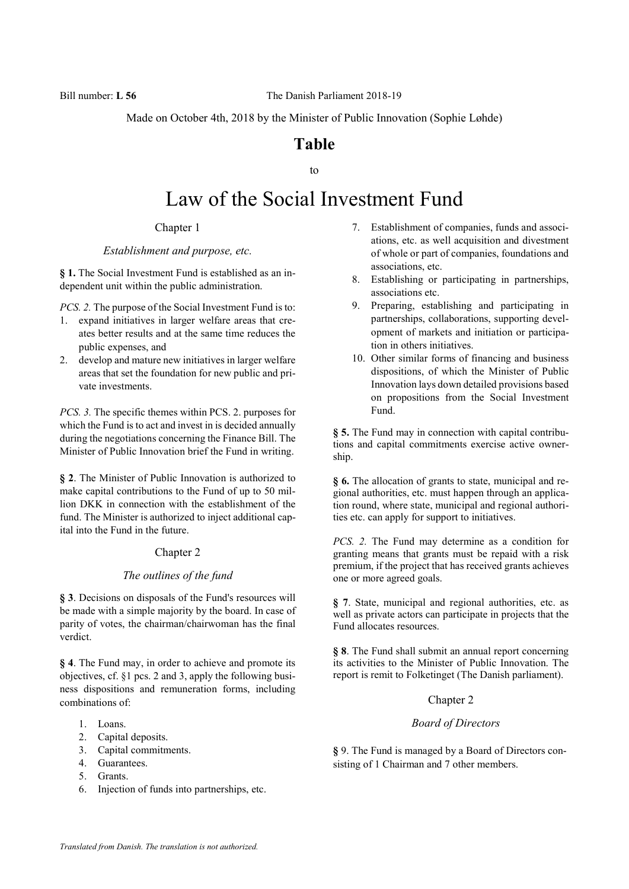Made on October 4th, 2018 by the Minister of Public Innovation (Sophie Løhde)

# Table

to

# Law of the Social Investment Fund

Chapter 1

#### Establishment and purpose, etc.

§ 1. The Social Investment Fund is established as an independent unit within the public administration.

PCS. 2. The purpose of the Social Investment Fund is to:

- 1. expand initiatives in larger welfare areas that creates better results and at the same time reduces the public expenses, and
- 2. develop and mature new initiatives in larger welfare areas that set the foundation for new public and private investments.

PCS. 3. The specific themes within PCS. 2. purposes for which the Fund is to act and invest in is decided annually during the negotiations concerning the Finance Bill. The Minister of Public Innovation brief the Fund in writing.

§ 2. The Minister of Public Innovation is authorized to make capital contributions to the Fund of up to 50 million DKK in connection with the establishment of the fund. The Minister is authorized to inject additional capital into the Fund in the future.

#### Chapter 2

# The outlines of the fund

§ 3. Decisions on disposals of the Fund's resources will be made with a simple majority by the board. In case of parity of votes, the chairman/chairwoman has the final verdict.

§ 4. The Fund may, in order to achieve and promote its objectives, cf. §1 pcs. 2 and 3, apply the following business dispositions and remuneration forms, including combinations of:

- 1. Loans.
- 2. Capital deposits.
- 3. Capital commitments.
- 4. Guarantees.
- 5. Grants.
- 6. Injection of funds into partnerships, etc.
- 7. Establishment of companies, funds and associations, etc. as well acquisition and divestment of whole or part of companies, foundations and associations, etc.
- 8. Establishing or participating in partnerships, associations etc.
- 9. Preparing, establishing and participating in partnerships, collaborations, supporting development of markets and initiation or participation in others initiatives.
- 10. Other similar forms of financing and business dispositions, of which the Minister of Public Innovation lays down detailed provisions based on propositions from the Social Investment Fund.

§ 5. The Fund may in connection with capital contributions and capital commitments exercise active ownership.

§ 6. The allocation of grants to state, municipal and regional authorities, etc. must happen through an application round, where state, municipal and regional authorities etc. can apply for support to initiatives.

PCS. 2. The Fund may determine as a condition for granting means that grants must be repaid with a risk premium, if the project that has received grants achieves one or more agreed goals.

§ 7. State, municipal and regional authorities, etc. as well as private actors can participate in projects that the Fund allocates resources.

§ 8. The Fund shall submit an annual report concerning its activities to the Minister of Public Innovation. The report is remit to Folketinget (The Danish parliament).

# Chapter 2

#### Board of Directors

§ 9. The Fund is managed by a Board of Directors consisting of 1 Chairman and 7 other members.